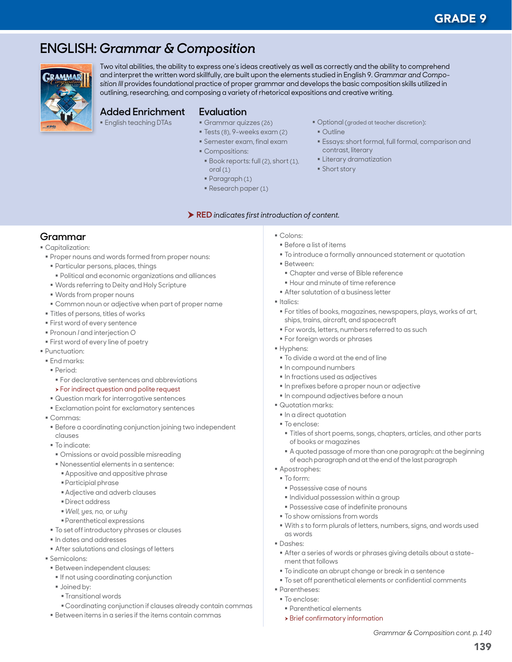# **ENGLISH:** *Grammar & Composition*



Two vital abilities, the ability to express one's ideas creatively as well as correctly and the ability to comprehend and interpret the written word skillfully, are built upon the elements studied in English 9. *Grammar and Composition III* provides foundational practice of proper grammar and develops the basic composition skills utilized in outlining, researching, and composing a variety of rhetorical expositions and creative writing.

## **Added Enrichment**

English teaching DTAs

- **Evaluation**
	- Grammar quizzes (26)
	- Tests (8), 9-weeks exam (2)
	- Semester exam, final exam
	- Compositions:
	- **Book reports: full (2), short (1),** oral (1)

RED *indicates first introduction of content.*

- Paragraph (1)
- Research paper (1)
- Optional (graded at teacher discretion):
- $\bigcap$ utline
- Essays: short formal, full formal, comparison and contrast, literary
- **Eliterary dramatization**
- **Short story**

**Grammar**

Capitalization:

- Proper nouns and words formed from proper nouns:
- Particular persons, places, things
- Political and economic organizations and alliances
- Words referring to Deity and Holy Scripture
- Words from proper nouns
- Common noun or adjective when part of proper name
- Titles of persons, titles of works
- First word of every sentence
- Pronoun *I* and interjection *O*
- **First word of every line of poetry**
- Punctuation:
- **End marks:**
- Period:
- For declarative sentences and abbreviations
- **>** For indirect question and polite request
- Question mark for interrogative sentences
- Exclamation point for exclamatory sentences
- Commas:
- Before a coordinating conjunction joining two independent clauses
- $\blacksquare$  To indicate:
- Omissions or avoid possible misreading
- Nonessential elements in a sentence:
- Appositive and appositive phrase
- Participial phrase
- Adjective and adverb clauses
- Direct address
- *Well, yes, no,* or *why*
- Parenthetical expressions
- $\blacksquare$  To set off introductory phrases or clauses
- In dates and addresses
- After salutations and closings of letters
- Semicolons:
- Between independent clauses:
- **If not using coordinating conjunction**
- **Joined by:** 
	- Transitional words
- Coordinating conjunction if clauses already contain commas
- Between items in a series if the items contain commas
- Colons:
- Before a list of items
- To introduce a formally announced statement or quotation
- Between:
	- Chapter and verse of Bible reference
	- Hour and minute of time reference
- After salutation of a business letter
- Italics:
- For titles of books, magazines, newspapers, plays, works of art, ships, trains, aircraft, and spacecraft
- **For words, letters, numbers referred to as such**
- **For foreign words or phrases**
- Hyphens:
- To divide a word at the end of line
- $\blacksquare$  In compound numbers
- $\blacksquare$  In fractions used as adjectives
- In prefixes before a proper noun or adjective
- $\blacksquare$  In compound adjectives before a noun
- Quotation marks:
- $\blacksquare$  In a direct quotation
- To enclose:
- Titles of short poems, songs, chapters, articles, and other parts of books or magazines
- A quoted passage of more than one paragraph: at the beginning of each paragraph and at the end of the last paragraph
- Apostrophes:
- To form:
	- Possessive case of nouns
	- $\blacksquare$  Individual possession within a group
	- Possessive case of indefinite pronouns
- $\blacksquare$  To show omissions from words
- With *s* to form plurals of letters, numbers, signs, and words used as words
- Dashes:
- After a series of words or phrases giving details about a statement that follows
- To indicate an abrupt change or break in a sentence
- $\blacksquare$  To set off parenthetical elements or confidential comments
- Parentheses:
- To enclose:
- Parenthetical elements
- $\rightarrow$  Brief confirmatory information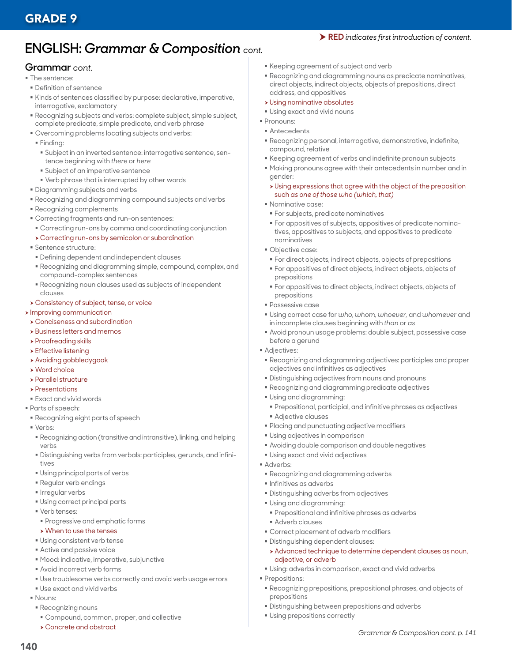# **ENGLISH:** *Grammar & Composition cont.*

#### **Grammar** *cont.*

- The sentence:
- Definition of sentence
- Kinds of sentences classified by purpose: declarative, imperative, interrogative, exclamatory
- Recognizing subjects and verbs: complete subject, simple subject, complete predicate, simple predicate, and verb phrase
- Overcoming problems locating subjects and verbs:
- Finding:
	- Subject in an inverted sentence: interrogative sentence, sentence beginning with *there* or *here*
	- Subject of an imperative sentence
- Verb phrase that is interrupted by other words
- Diagramming subjects and verbs
- Recognizing and diagramming compound subjects and verbs
- Recognizing complements
- Correcting fragments and run-on sentences:
- Correcting run-ons by comma and coordinating conjunction
- h Correcting run-ons by semicolon or subordination
- **Sentence structure:**
- Defining dependent and independent clauses
- Recognizing and diagramming simple, compound, complex, and compound-complex sentences
- Recognizing noun clauses used as subjects of independent clauses

#### **> Consistency of subject, tense, or voice**

- **h** Improving communication
- **> Conciseness and subordination**
- **>** Business letters and memos
- $\triangleright$  Proofreading skills
- $\rightarrow$  Effective listening
- h Avoiding gobbledygook
- $\rightarrow$  Word choice
- $\blacktriangleright$  Parallel structure
- $\triangleright$  Presentations
- Exact and vivid words
- Parts of speech:
- Recognizing eight parts of speech
- Verbs:
- Recognizing action (transitive and intransitive), linking, and helping verbs
- Distinguishing verbs from verbals: participles, gerunds, and infinitives
- Using principal parts of verbs
- Regular verb endings
- **Irregular verbs**
- Using correct principal parts
- Verb tenses:
- Progressive and emphatic forms

#### $\triangleright$  When to use the tenses

- Using consistent verb tense
- Active and passive voice
- Mood: indicative, imperative, subjunctive
- Avoid incorrect verb forms
- Use troublesome verbs correctly and avoid verb usage errors
- Use exact and vivid verbs
- Nouns:

140

- Recognizing nouns
- Compound, common, proper, and collective
- $\rightarrow$  Concrete and abstract
- Keeping agreement of subject and verb
- Recognizing and diagramming nouns as predicate nominatives, direct objects, indirect objects, objects of prepositions, direct address, and appositives

RED *indicates first introduction of content.*

- **> Using nominative absolutes**
- Using exact and vivid nouns
- Pronouns:
- **Antecedents**
- Recognizing personal, interrogative, demonstrative, indefinite, compound, relative
- Keeping agreement of verbs and indefinite pronoun subjects
- Making pronouns agree with their antecedents in number and in gender:
- $\rightarrow$  Using expressions that agree with the object of the preposition such *as one of those who (which, that)*
- Nominative case:
- For subjects, predicate nominatives
- For appositives of subjects, appositives of predicate nominatives, appositives to subjects, and appositives to predicate nominatives
- Objective case:
- For direct objects, indirect objects, objects of prepositions
- For appositives of direct objects, indirect objects, objects of prepositions
- For appositives to direct objects, indirect objects, objects of prepositions
- Possessive case
- Using correct case for *who, whom, whoever,* and *whomever* and in incomplete clauses beginning with *than* or *as*
- Avoid pronoun usage problems: double subject, possessive case before a gerund
- **Adjectives:**
- Recognizing and diagramming adjectives: participles and proper adjectives and infinitives as adjectives
- Distinguishing adjectives from nouns and pronouns
- Recognizing and diagramming predicate adjectives
- Using and diagramming:
- Prepositional, participial, and infinitive phrases as adjectives
- Adjective clauses
- Placing and punctuating adjective modifiers
- Using adjectives in comparison
- Avoiding double comparison and double negatives
- Using exact and vivid adjectives
- Adverbs:
	- Recognizing and diagramming adverbs
	- **Infinitives as adverbs**
	- Distinguishing adverbs from adjectives
	- Using and diagramming:
	- Prepositional and infinitive phrases as adverbs
	- Adverb clauses
	- Correct placement of adverb modifiers
	- Distinguishing dependent clauses:

Using prepositions correctly

- h Advanced technique to determine dependent clauses as noun, adjective, or adverb
- Using: adverbs in comparison, exact and vivid adverbs
- **Prepositions:**
- Recognizing prepositions, prepositional phrases, and objects of prepositions

*Grammar & Composition cont. p. 141*

Distinguishing between prepositions and adverbs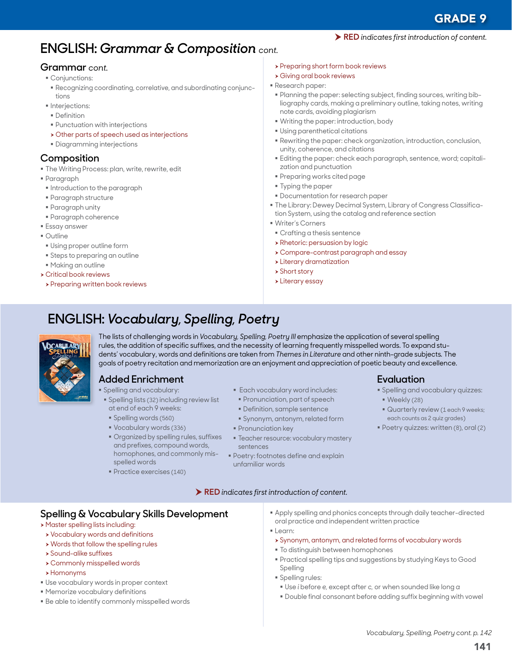# **ENGLISH:** *Grammar & Composition cont.*

#### **Grammar** *cont.*

- Conjunctions:
- Recognizing coordinating, correlative, and subordinating conjunctions
- $\blacksquare$ Interjections:
- **Definition**
- Punctuation with interjections
- $\rightarrow$  Other parts of speech used as interjections
- Diagramming interjections

# **Composition**

- The Writing Process: plan, write, rewrite, edit
- Paragraph
- **Introduction to the paragraph**
- Paragraph structure
- Paragraph unity
- Paragraph coherence
- Essay answer
- Outline
- Using proper outline form
- Steps to preparing an outline
- Making an outline
- $\triangleright$  Critical book reviews
- **> Preparing written book reviews**
- > Preparing short form book reviews
- **> Giving oral book reviews**
- Research paper:
- Planning the paper: selecting subject, finding sources, writing bibliography cards, making a preliminary outline, taking notes, writing note cards, avoiding plagiarism
- Writing the paper: introduction, body
- Using parenthetical citations
- Rewriting the paper: check organization, introduction, conclusion, unity, coherence, and citations
- Editing the paper: check each paragraph, sentence, word; capitalization and punctuation
- Preparing works cited page
- Typing the paper
- Documentation for research paper
- The Library: Dewey Decimal System, Library of Congress Classification System, using the catalog and reference section
- Writer's Corners
- Crafting a thesis sentence
- **> Rhetoric: persuasion by logic**
- h Compare-contrast paragraph and essay
- $\rightarrow$  Literary dramatization
- $\triangleright$  Short story
- $\blacktriangleright$  Literary essay

# **ENGLISH:** *Vocabulary, Spelling, Poetry*



The lists of challenging words in *Vocabulary, Spelling, Poetry III* emphasize the application of several spelling rules, the addition of specific suffixes, and the necessity of learning frequently misspelled words. To expand students' vocabulary, words and definitions are taken from *Themes in Literature* and other ninth-grade subjects*.* The goals of poetry recitation and memorization are an enjoyment and appreciation of poetic beauty and excellence.

# **Added Enrichment**

- **Spelling and vocabulary:**
- **Spelling lists (32) including review list** at end of each 9 weeks:
- Spelling words (560)
- Vocabulary words (336)
- Organized by spelling rules, suffixes and prefixes, compound words, homophones, and commonly misspelled words
- Practice exercises (140)
- **Each vocabulary word includes:** 
	- **Pronunciation, part of speech**
	- Definition, sample sentence
	- Synonym, antonym, related form
- **Pronunciation key**
- **Teacher resource: vocabulary mastery** sentences
- **Poetry: footnotes define and explain** unfamiliar words

#### RED *indicates first introduction of content.*

- **Spelling & Vocabulary Skills Development > Master spelling lists including:**
- **> Vocabulary words and definitions**
- $\rightarrow$  Words that follow the spelling rules
- $\rightarrow$  Sound-alike suffixes
- $\rightarrow$  Commonly misspelled words
- $\rightarrow$  Homonyms
- Use vocabulary words in proper context
- Memorize vocabulary definitions
- Be able to identify commonly misspelled words

 Apply spelling and phonics concepts through daily teacher-directed oral practice and independent written practice

**Evaluation**

Weekly (28)

Spelling and vocabulary quizzes:

**Quarterly review (1 each 9 weeks;** each counts as 2 quiz grades) Poetry quizzes: written (8), oral (2)

- Learn:
	- h Synonym, antonym, and related forms of vocabulary words
	- To distinguish between homophones
	- Practical spelling tips and suggestions by studying Keys to Good Spelling
	- **Spelling rules:**
	- Use *i* before *e,* except after *c,* or when sounded like long *a*
	- Double final consonant before adding suffix beginning with vowel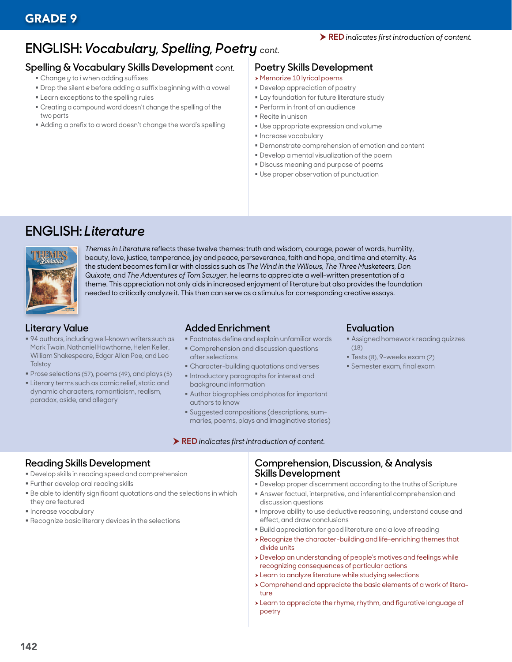# **ENGLISH:** *Vocabulary, Spelling, Poetry cont.*

### **Spelling & Vocabulary Skills Development** *cont.*

- Change *y* to *i* when adding suffixes
- Drop the silent *e* before adding a suffix beginning with a vowel
- **Example 2** Learn exceptions to the spelling rules
- Creating a compound word doesn't change the spelling of the two parts
- Adding a prefix to a word doesn't change the word's spelling

### **Poetry Skills Development**

- h Memorize 10 lyrical poems
- Develop appreciation of poetry
- **Example 1** Lay foundation for future literature study
- Perform in front of an audience
- Recite in unison
- Use appropriate expression and volume
- **Increase vocabulary**
- Demonstrate comprehension of emotion and content
- Develop a mental visualization of the poem
- Discuss meaning and purpose of poems
- Use proper observation of punctuation

# **ENGLISH:** *Literature*



*Themes in Literature* reflects these twelve themes: truth and wisdom, courage, power of words, humility, beauty, love, justice, temperance, joy and peace, perseverance, faith and hope, and time and eternity. As the student becomes familiar with classics such as *The Wind in the Willows, The Three Musketeers, Don Quixote,* and *The Adventures of Tom Sawyer,* he learns to appreciate a well-written presentation of a theme. This appreciation not only aids in increased enjoyment of literature but also provides the foundation needed to critically analyze it. This then can serve as a stimulus for corresponding creative essays.

# **Literary Value**

- 94 authors, including well-known writers such as Mark Twain, Nathaniel Hawthorne, Helen Keller, William Shakespeare, Edgar Allan Poe, and Leo **Tolstoy**
- Prose selections (57), poems (49), and plays (5)
- **Literary terms such as comic relief, static and** dynamic characters, romanticism, realism, paradox, aside, and allegory

## **Added Enrichment**

- Footnotes define and explain unfamiliar words
- Comprehension and discussion questions
- after selections Character-building quotations and verses
- **Introductory paragraphs for interest and**
- background information Author biographies and photos for important authors to know
- Suggested compositions (descriptions, summaries, poems, plays and imaginative stories)

#### RED *indicates first introduction of content.*

### **Evaluation**

- Assigned homework reading quizzes (18)
- Tests (8), 9-weeks exam (2)
- Semester exam, final exam

# **Reading Skills Development**

- Develop skills in reading speed and comprehension
- Further develop oral reading skills
- Be able to identify significant quotations and the selections in which they are featured
- **Increase vocabulary**
- Recognize basic literary devices in the selections

### **Comprehension, Discussion, & Analysis Skills Development**

- Develop proper discernment according to the truths of Scripture
- Answer factual, interpretive, and inferential comprehension and discussion questions
- Improve ability to use deductive reasoning, understand cause and effect, and draw conclusions
- Build appreciation for good literature and a love of reading
- $\rightarrow$  Recognize the character-building and life-enriching themes that divide units
- h Develop an understanding of people's motives and feelings while recognizing consequences of particular actions
- $\rightarrow$  Learn to analyze literature while studying selections
- h Comprehend and appreciate the basic elements of a work of literature
- h Learn to appreciate the rhyme, rhythm, and figurative language of poetry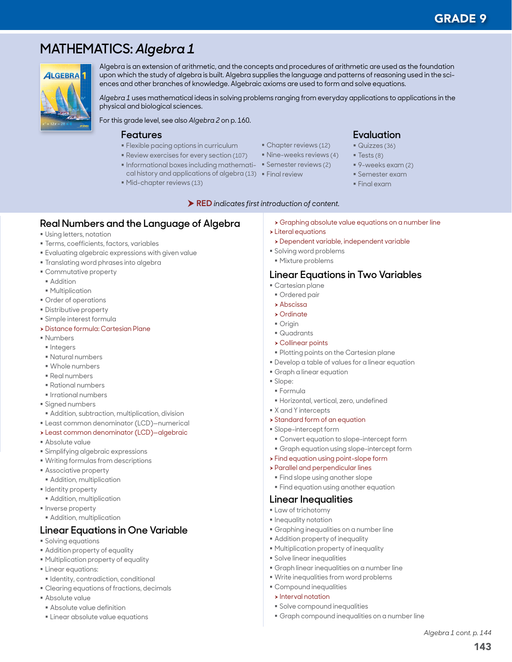143

*Algebra 1 cont. p. 144*

# **MATHEMATICS:** *Algebra 1*



Algebra is an extension of arithmetic, and the concepts and procedures of arithmetic are used as the foundation upon which the study of algebra is built. Algebra supplies the language and patterns of reasoning used in the sciences and other branches of knowledge. Algebraic axioms are used to form and solve equations.

*Algebra 1* uses mathematical ideas in solving problems ranging from everyday applications to applications in the physical and biological sciences.

For this grade level, see also *Algebra 2* on p. 160.

#### **Features**

- Flexible pacing options in curriculum
- Review exercises for every section (107)
- **Informational boxes including mathemati- Semester reviews (2)** cal history and applications of algebra (13) Final review
- Mid-chapter reviews (13)
- Chapter reviews (12) **Nine-weeks reviews (4)** 
	-
	- -
- **Evaluation** Quizzes (36)
- $\blacksquare$  Tests (8)
- 9-weeks exam (2)
- Semester exam
- Final exam

RED *indicates first introduction of content.*

- **Real Numbers and the Language of Algebra**
- **Using letters, notation**
- Terms, coefficients, factors, variables
- Evaluating algebraic expressions with given value
- **Translating word phrases into algebra**
- Commutative property
- **Addition**
- **Multiplication**
- Order of operations
- Distributive property
- Simple interest formula
- **> Distance formula: Cartesian Plane**
- Numbers
- $\blacksquare$ Integers
- Natural numbers
- Whole numbers
- Real numbers
- Rational numbers
- **Irrational numbers**
- Signed numbers
- Addition, subtraction, multiplication, division
- Least common denominator (LCD)—numerical
- h Least common denominator (LCD)—algebraic
- Absolute value
- Simplifying algebraic expressions
- Writing formulas from descriptions
- Associative property
- Addition, multiplication
- **I** Identity property
- **Addition, multiplication**
- **Inverse property**
- Addition, multiplication

# **Linear Equations in One Variable**

- Solving equations
- Addition property of equality
- Multiplication property of equality
- **Linear equations:**
- **I** Identity, contradiction, conditional
- Clearing equations of fractions, decimals
- Absolute value
- Absolute value definition
- **Linear absolute value equations**
- **>** Graphing absolute value equations on a number line
- $\blacktriangleright$  Literal equations
- **>** Dependent variable, independent variable
- Solving word problems
- Mixture problems

#### **Linear Equations in Two Variables**

- Cartesian plane
- **Ordered pair**
- $\rightarrow$  Abscissa
- $\triangleright$  Ordinate
- **Origin**
- Quadrants
- $\triangleright$  Collinear points
- **Plotting points on the Cartesian plane**
- Develop a table of values for a linear equation
- Graph a linear equation
- Slope:
- Formula
- Horizontal, vertical, zero, undefined
- X and Y intercepts
- **> Standard form of an equation**
- Slope-intercept form
- Convert equation to slope-intercept form
- Graph equation using slope-intercept form
- $\triangleright$  Find equation using point-slope form
- h Parallel and perpendicular lines
- **Find slope using another slope**
- **Find equation using another equation**

#### **Linear Inequalities**

- **Law of trichotomy**
- $\blacksquare$  Inequality notation
- Graphing inequalities on a number line
- Addition property of inequality
- Multiplication property of inequality
- **Solve linear inequalities**

 Compound inequalities  $\triangleright$  Interval notation

Graph linear inequalities on a number line

Graph compound inequalities on a number line

Write inequalities from word problems

Solve compound inequalities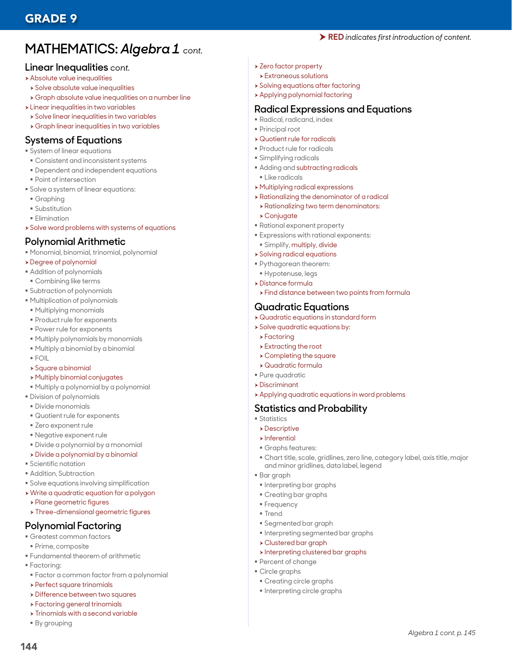# **MATHEMATICS:** *Algebra 1 cont.*

#### **Linear Inequalities** *cont.*

- **> Absolute value inequalities**
- $\rightarrow$  Solve absolute value inequalities
- **>** Graph absolute value inequalities on a number line
- $\blacktriangleright$  Linear inequalities in two variables
- $\rightarrow$  Solve linear inequalities in two variables
- $\rightarrow$  Graph linear inequalities in two variables

## **Systems of Equations**

- System of linear equations
- Consistent and inconsistent systems
- Dependent and independent equations
- Point of intersection
- Solve a system of linear equations:
- Graphing
- Substitution
- **Elimination**
- $\rightarrow$  Solve word problems with systems of equations

### **Polynomial Arithmetic**

- Monomial, binomial, trinomial, polynomial
- > Degree of polynomial
- Addition of polynomials
- Combining like terms
- Subtraction of polynomials
- Multiplication of polynomials
- Multiplying monomials
- Product rule for exponents
- Power rule for exponents
- Multiply polynomials by monomials
- Multiply a binomial by a binomial
- FOIL
- h Square a binomial
- $\rightarrow$  Multiply binomial conjugates
- Multiply a polynomial by a polynomial
- Division of polynomials
- Divide monomials
- Quotient rule for exponents
- **Zero exponent rule**
- Negative exponent rule
- Divide a polynomial by a monomial
- > Divide a polynomial by a binomial
- **Scientific notation**
- Addition, Subtraction
- Solve equations involving simplification
- **> Write a quadratic equation for a polygon**
- **> Plane geometric figures**
- > Three-dimensional geometric figures

### **Polynomial Factoring**

- Greatest common factors
- Prime, composite
- Fundamental theorem of arithmetic
- Factoring:
- Factor a common factor from a polynomial
- $\rightarrow$  Perfect square trinomials
- **> Difference between two squares**
- $\rightarrow$  Factoring general trinomials
- $\rightarrow$  Trinomials with a second variable
- By grouping

144

- > Zero factor property
- $\rightarrow$  Extraneous solutions
- $\rightarrow$  Solving equations after factoring
- $\rightarrow$  Applying polynomial factoring

#### **Radical Expressions and Equations**

RED *indicates first introduction of content.*

- Radical, radicand, index
- Principal root
- $\rightarrow$  Quotient rule for radicals
- Product rule for radicals
- Simplifying radicals
- Adding and subtracting radicals
- **ELike radicals**
- **> Multiplying radical expressions**
- $\rightarrow$  Rationalizing the denominator of a radical
- **> Rationalizing two term denominators:** 
	- $\rightarrow$  Conjugate
- Rational exponent property
- Expressions with rational exponents:
- Simplify, multiply, divide
- $\rightarrow$  Solving radical equations
- Pythagorean theorem:
- Hypotenuse, legs
- $\rightarrow$  Distance formula
- **>** Find distance between two points from formula

## **Quadratic Equations**

- $\rightarrow$  Quadratic equations in standard form
- $\rightarrow$  Solve quadratic equations by:
- $\rightarrow$  Factoring
- $\blacktriangleright$  Extracting the root
- $\rightarrow$  Completing the square
- $\rightarrow$  Quadratic formula
- Pure quadratic
- $\rightarrow$  Discriminant
- h Applying quadratic equations in word problems

# **Statistics and Probability**

- **Statistics**
- $\triangleright$  Descriptive
- $\blacktriangleright$  Inferential
- Graphs features:

**Interpreting bar graphs** Creating bar graphs

Segmented bar graph

h Clustered bar graph

 Creating circle graphs **Interpreting circle graphs** 

 Percent of change ■ Circle graphs

Interpreting segmented bar graphs

 $\triangleright$  Interpreting clustered bar graphs

 Chart title, scale, gridlines, zero line, category label, axis title, major and minor gridlines, data label, legend

*Algebra 1 cont. p. 145*

Bar graph

**Frequency Trend**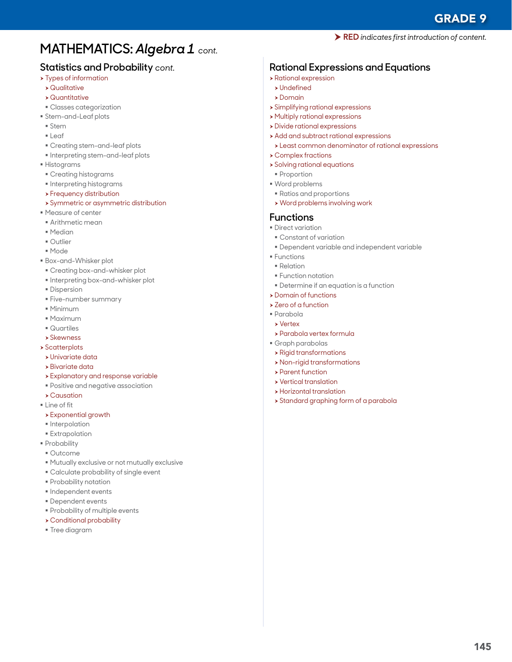# **MATHEMATICS:** *Algebra 1 cont.*

# **Statistics and Probability** *cont.*

- $\rightarrow$  Types of information
- $\rightarrow$  Qualitative
- $\rightarrow$  Quantitative
- Classes categorization
- Stem-and-Leaf plots
- Stem
- Leaf
- Creating stem-and-leaf plots
- $\blacksquare$  Interpreting stem-and-leaf plots
- Histograms
- Creating histograms
- **Interpreting histograms**
- $\rightarrow$  Frequency distribution
- **> Symmetric or asymmetric distribution**
- Measure of center
- Arithmetic mean
- Median
- Outlier
- Mode
- Box-and-Whisker plot
- Creating box-and-whisker plot
- **Interpreting box-and-whisker plot**
- **Dispersion**
- Five-number summary
- Minimum
- Maximum
- Quartiles
- $\rightarrow$  Skewness
- $\rightarrow$  Scatterplots
- $\rightarrow$  Univariate data
- $\rightarrow$  Bivariate data
- $\rightarrow$  Explanatory and response variable
- Positive and negative association
- $\rightarrow$  Causation
- **Line of fit**
- h Exponential growth
- **Interpolation**
- **Extrapolation**
- **Probability**
- Outcome
- Mutually exclusive or not mutually exclusive
- Calculate probability of single event
- Probability notation
- **Independent events**
- Dependent events
- **Probability of multiple events**
- $\rightarrow$  Conditional probability
- Tree diagram

RED *indicates first introduction of content.*

# **Rational Expressions and Equations**

- $\rightarrow$  Rational expression
- $\blacktriangleright$  Undefined
- $\rightarrow$  Domain
- $\rightarrow$  Simplifying rational expressions
- $\rightarrow$  Multiply rational expressions
- $\rightarrow$  Divide rational expressions
- **Add and subtract rational expressions**  $\rightarrow$  Least common denominator of rational expressions
- $\rightarrow$  Complex fractions
- **>** Solving rational equations
- **Proportion**
- Word problems
- Ratios and proportions
- $\rightarrow$  Word problems involving work

### **Functions**

- **Direct variation**
- Constant of variation
- Dependent variable and independent variable
- **Functions**
- Relation
- **Function notation** 
	- Determine if an equation is a function
- $\rightarrow$  Domain of functions
- > Zero of a function
- Parabola
- $\blacktriangleright$  Vertex
- **>** Parabola vertex formula
- Graph parabolas
- $\rightarrow$  Rigid transformations
- $\rightarrow$  Non-rigid transformations
- $\blacktriangleright$  Parent function
- $\rightarrow$  Vertical translation
- $\rightarrow$  Horizontal translation
- **> Standard graphing form of a parabola**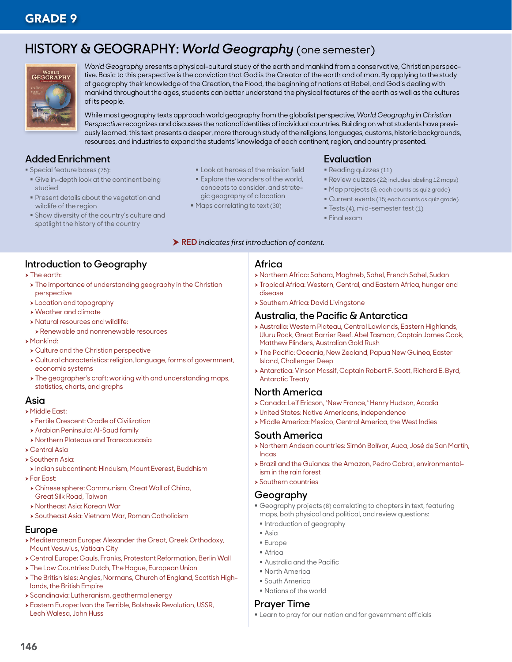# **HISTORY & GEOGRAPHY:** *World Geography* (one semester)



*World Geography* presents a physical-cultural study of the earth and mankind from a conservative, Christian perspective. Basic to this perspective is the conviction that God is the Creator of the earth and of man. By applying to the study of geography their knowledge of the Creation, the Flood, the beginning of nations at Babel, and God's dealing with mankind throughout the ages, students can better understand the physical features of the earth as well as the cultures of its people.

While most geography texts approach world geography from the globalist perspective, *World Geography in Christian Perspective* recognizes and discusses the national identities of individual countries. Building on what students have previously learned, this text presents a deeper, more thorough study of the religions, languages, customs, historic backgrounds, resources, and industries to expand the students' knowledge of each continent, region, and country presented.

# **Added Enrichment**

- **Special feature boxes (75):**
- Give in-depth look at the continent being studied
- Present details about the vegetation and wildlife of the region
- **Show diversity of the country's culture and** spotlight the history of the country

# **Introduction to Geography**

- $\triangleright$  The earth:
- $\rightarrow$  The importance of understanding geography in the Christian perspective
- **>** Location and topography
- $\rightarrow$  Weather and climate
- h Natural resources and wildlife:
- **> Renewable and nonrenewable resources**
- $\blacktriangleright$  Mankind:
- $\rightarrow$  Culture and the Christian perspective
- h Cultural characteristics: religion, language, forms of government, economic systems
- $\rightarrow$  The geographer's craft: working with and understanding maps, statistics, charts, and graphs

#### **Asia**

- **> Middle East:**
- **> Fertile Crescent: Cradle of Civilization**
- **> Arabian Peninsula: Al-Saud family**
- **> Northern Plateaus and Transcaucasia**
- **Central Asia**
- Southern Asia:
- $\rightarrow$  Indian subcontinent: Hinduism, Mount Everest, Buddhism
- $\blacktriangleright$  Far East:
- h Chinese sphere: Communism, Great Wall of China, Great Silk Road, Taiwan
- **> Northeast Asia: Korean War**
- h Southeast Asia: Vietnam War, Roman Catholicism

### **Europe**

- h Mediterranean Europe: Alexander the Great, Greek Orthodoxy, Mount Vesuvius, Vatican City
- h Central Europe: Gauls, Franks, Protestant Reformation, Berlin Wall
- > The Low Countries: Dutch, The Hague, European Union
- > The British Isles: Angles, Normans, Church of England, Scottish Highlands, the British Empire
- **> Scandinavia: Lutheranism, geothermal energy**
- **> Eastern Europe: Ivan the Terrible, Bolshevik Revolution, USSR,** Lech Walesa, John Huss
- **Look at heroes of the mission field**
- **Explore the wonders of the world.** concepts to consider, and strategic geography of a location
- Maps correlating to text (30)

# **Evaluation**

- Reading quizzes (11)
- Review quizzes (22; includes labeling 12 maps)
- Map projects (8; each counts as quiz grade)
- Current events (15; each counts as quiz grade)
- **Tests (4), mid-semester test (1)**
- Final exam

# RED *indicates first introduction of content.*

#### **Africa**

- h Northern Africa: Sahara, Maghreb, Sahel, French Sahel, Sudan
- **> Tropical Africa: Western, Central, and Eastern Africa, hunger and** disease
- **> Southern Africa: David Livingstone**

#### **Australia, the Pacific & Antarctica**

- h Australia: Western Plateau, Central Lowlands, Eastern Highlands, Uluru Rock, Great Barrier Reef, Abel Tasman, Captain James Cook, Matthew Flinders, Australian Gold Rush
- $\rightarrow$  The Pacific: Oceania, New Zealand, Papua New Guinea, Easter Island, Challenger Deep
- h Antarctica: Vinson Massif, Captain Robert F. Scott, Richard E. Byrd, Antarctic Treaty

# **North America**

- h Canada: Leif Ericson, "New France," Henry Hudson, Acadia
- h United States: Native Americans, independence
	- h Middle America: Mexico, Central America, the West Indies

# **South America**

- h Northern Andean countries: Simón Bolívar, Auca, José de San Martín, Incas
- h Brazil and the Guianas: the Amazon, Pedro Cabral, environmentalism in the rain forest
- $\rightarrow$  Southern countries

#### **Geography**

- Geography projects (8) correlating to chapters in text, featuring maps, both physical and political, and review questions:
- **Introduction of geography**
- Asia
- Europe
- Africa
- Australia and the Pacific
- North America
- South America Nations of the world

#### **Prayer Time**

Learn to pray for our nation and for government officials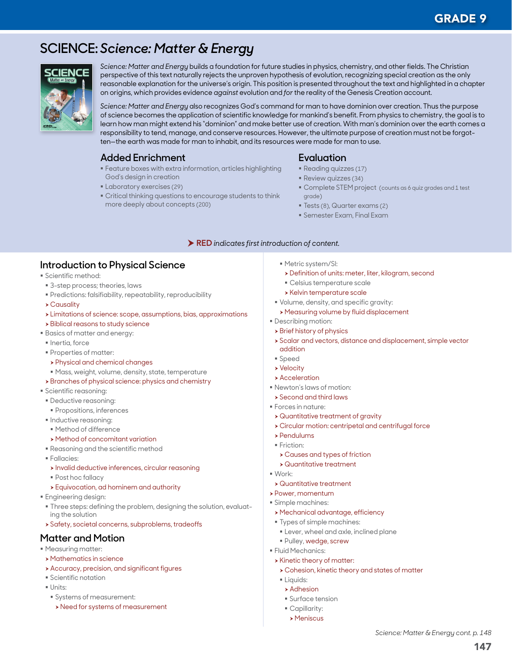# **SCIENCE:** *Science: Matter & Energy*



*Science: Matter and Energy* builds a foundation for future studies in physics, chemistry, and other fields. The Christian perspective of this text naturally rejects the unproven hypothesis of evolution, recognizing special creation as the only reasonable explanation for the universe's origin. This position is presented throughout the text and highlighted in a chapter on origins, which provides evidence *against* evolution and *for* the reality of the Genesis Creation account.

*Science: Matter and Energy* also recognizes God's command for man to have dominion over creation. Thus the purpose of science becomes the application of scientific knowledge for mankind's benefit. From physics to chemistry, the goal is to learn how man might extend his "dominion" and make better use of creation. With man's dominion over the earth comes a responsibility to tend, manage, and conserve resources. However, the ultimate purpose of creation must not be forgotten—the earth was made for man to inhabit, and its resources were made for man to use.

# **Added Enrichment**

- Feature boxes with extra information, articles highlighting God's design in creation
- **Laboratory exercises (29)**
- Critical thinking questions to encourage students to think more deeply about concepts (200)

# **Evaluation**

- Reading quizzes (17)
- Review quizzes (34)
- Complete STEM project (counts as 6 quiz grades and 1 test grade)
- Tests (8), Quarter exams (2)
- Semester Exam, Final Exam

#### RED *indicates first introduction of content.*

## **Introduction to Physical Science**

- Scientific method:
- 3-step process; theories, laws
- Predictions: falsifiability, repeatability, reproducibility
- $\rightarrow$  Causality
- $\rightarrow$  Limitations of science: scope, assumptions, bias, approximations
- $\rightarrow$  Biblical reasons to study science
- Basics of matter and energy:
- $\blacksquare$  Inertia, force
- Properties of matter:
- > Physical and chemical changes
- Mass, weight, volume, density, state, temperature
- **>** Branches of physical science: physics and chemistry
- Scientific reasoning:
- Deductive reasoning:
- **Propositions, inferences**
- $\blacksquare$  Inductive reasoning:
- Method of difference
- $\rightarrow$  Method of concomitant variation
- Reasoning and the scientific method
- Fallacies:
- $\rightarrow$  Invalid deductive inferences, circular reasoning
- Post hoc fallacy
- h Equivocation, ad hominem and authority
- **Engineering design:**
- **Three steps: defining the problem, designing the solution, evaluat**ing the solution
- $\rightarrow$  Safety, societal concerns, subproblems, tradeoffs

#### **Matter and Motion**

- Measuring matter:
- $\rightarrow$  Mathematics in science
- $\rightarrow$  Accuracy, precision, and significant figures
- **Scientific notation**
- $\blacksquare$  Units:
- Systems of measurement:
- > Need for systems of measurement
- Metric system/SI:
- > Definition of units: meter, liter, kilogram, second
- Celsius temperature scale
- **> Kelvin temperature scale**
- Volume, density, and specific gravity:
- h Measuring volume by fluid displacement
- Describing motion:
- $\triangleright$  Brief history of physics
- h Scalar and vectors, distance and displacement, simple vector addition
- Speed
- **> Velocity**
- $\rightarrow$  Acceleration
- Newton's laws of motion:
- $\rightarrow$  Second and third laws
- Forces in nature:
- $\rightarrow$  Quantitative treatment of gravity
- **> Circular motion: centripetal and centrifugal force**
- $\blacktriangleright$  Pendulums
- Friction:
- \* Causes and types of friction
- $\rightarrow$  Quantitative treatment
- Work:
- h Quantitative treatment
- **> Power, momentum**
- Simple machines:
- h Mechanical advantage, efficiency
- Types of simple machines:
- Lever, wheel and axle, inclined plane
- Pulley, wedge, screw
- **Fluid Mechanics:**
- $\triangleright$  Kinetic theory of matter:
- $\rightarrow$  Cohesion, kinetic theory and states of matter
- **Liquids:**
- $\rightarrow$  Adhesion
- **Surface tension**
- Capillarity:
- $>$  Meniscus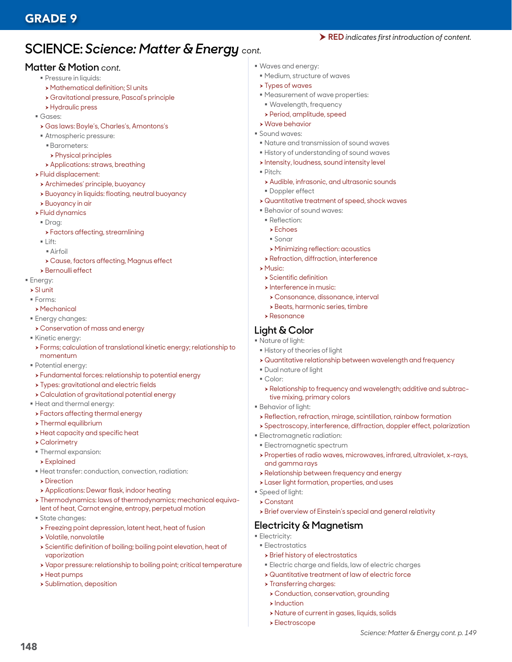# **SCIENCE:** *Science: Matter & Energy cont.*

#### **Matter & Motion** *cont.*

- **Pressure in liquids:**
- **> Mathematical definition; SI units**
- h Gravitational pressure, Pascal's principle
- **> Hydraulic press**
- Gases:
- h Gas laws: Boyle's, Charles's, Amontons's
- Atmospheric pressure:
	- Barometers:
	- $\triangleright$  Physical principles
- **> Applications: straws, breathing**
- $\blacktriangleright$  Fluid displacement:
- **>** Archimedes' principle, buoyancy
- > Buoyancy in liquids: floating, neutral buoyancy
- $\rightarrow$  Buoyancy in air
- $\blacktriangleright$  Fluid dynamics
- Draa:
- **>** Factors affecting, streamlining
- $\blacksquare$  Lift:
	- Airfoil
- h Cause, factors affecting, Magnus effect
- **>** Bernoulli effect
- **Energy:**
- $\rightarrow$  SI unit
- Forms:
- $>$  Mechanical
- **Energy changes:**
- h Conservation of mass and energy
- Kinetic energy:
- h Forms; calculation of translational kinetic energy; relationship to momentum
- Potential energy:
	- **>** Fundamental forces: relationship to potential energy
- **> Types: gravitational and electric fields**
- h Calculation of gravitational potential energy
- Heat and thermal energy:
- **>** Factors affecting thermal energy
- $\triangleright$  Thermal equilibrium
- $\rightarrow$  Heat capacity and specific heat
- $\rightarrow$  Calorimetry
- Thermal expansion:
- $\rightarrow$  Explained
- Heat transfer: conduction, convection, radiation:
- **Direction**
- **Applications: Dewar flask, indoor heating**
- > Thermodynamics: laws of thermodynamics; mechanical equivalent of heat, Carnot engine, entropy, perpetual motion
- State changes:
- > Freezing point depression, latent heat, heat of fusion
- h Volatile, nonvolatile
- h Scientific definition of boiling; boiling point elevation, heat of vaporization
- h Vapor pressure: relationship to boiling point; critical temperature
- $\rightarrow$  Heat pumps

148

 $\rightarrow$  Sublimation, deposition

- Waves and energy:
- Medium, structure of waves
- $\rightarrow$  Types of waves
- Measurement of wave properties:
- Wavelength, frequency
- h Period, amplitude, speed
- $\rightarrow$  Wave behavior
- Sound waves:
- Nature and transmission of sound waves

RED *indicates first introduction of content.*

- History of understanding of sound waves
- $\rightarrow$  Intensity, loudness, sound intensity level
- Pitch:
- **> Audible, infrasonic, and ultrasonic sounds**
- **Doppler effect**
- $\rightarrow$  Quantitative treatment of speed, shock waves
- Behavior of sound waves:
- Reflection:
- $\blacktriangleright$  Echoes
- Sonar
- **> Minimizing reflection: acoustics**
- **>** Refraction, diffraction, interference
- $\triangleright$  Music:
	- $\triangleright$  Scientific definition
	- $\triangleright$  Interference in music:
	- h Consonance, dissonance, interval
	- **>** Beats, harmonic series, timbre
- h Resonance

#### **Light & Color**

- Nature of light:
- History of theories of light
- $\rightarrow$  Quantitative relationship between wavelength and frequency
- Dual nature of light
- Color:
- h Relationship to frequency and wavelength; additive and subtractive mixing, primary colors
- Behavior of light:
- $\rightarrow$  Reflection, refraction, mirage, scintillation, rainbow formation
- h Spectroscopy, interference, diffraction, doppler effect, polarization
- Electromagnetic radiation:
- **Electromagnetic spectrum**
- h Properties of radio waves, microwaves, infrared, ultraviolet, x-rays, and gamma rays

*Science: Matter & Energy cont. p. 149*

- $\rightarrow$  Relationship between frequency and energy
- **>Laser light formation, properties, and uses**
- Speed of light:
- $\rightarrow$  Constant

**Electricity: Electrostatics** 

> Brief overview of Einstein's special and general relativity

 Electric charge and fields, law of electric charges  $\rightarrow$  Quantitative treatment of law of electric force

**> Conduction, conservation, grounding** 

h Nature of current in gases, liquids, solids

# **Electricity & Magnetism**

 $\rightarrow$  Brief history of electrostatics

 $\blacktriangleright$  Transferring charges:

 $\blacktriangleright$  Induction

 $\blacktriangleright$  Electroscope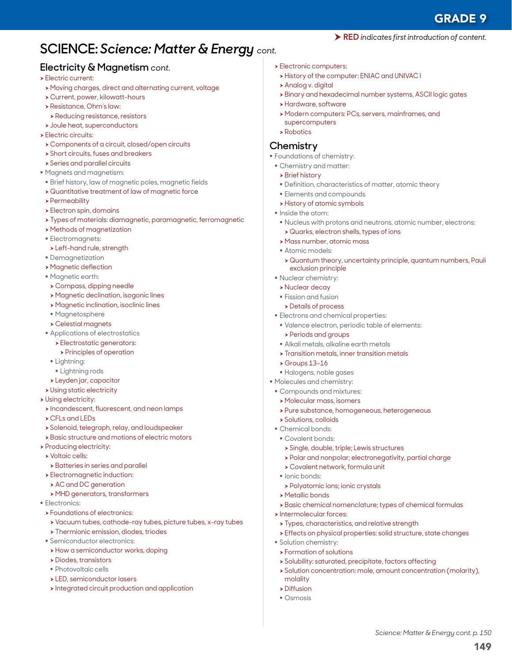149

*Science: Matter & Energy cont. p. 150*

# **SCIENCE:** *Science: Matter & Energy cont.*

## **Electricity & Magnetism** *cont.*

#### $\blacktriangleright$  Electric current:

- h Moving charges, direct and alternating current, voltage
- h Current, power, kilowatt-hours
- **> Resistance, Ohm's law:**
- $\rightarrow$  Reducing resistance, resistors
- $\rightarrow$  Joule heat, superconductors
- $\blacktriangleright$  Electric circuits:
- $\rightarrow$  Components of a circuit, closed/open circuits
- $\rightarrow$  Short circuits, fuses and breakers
- $\rightarrow$  Series and parallel circuits
- Magnets and magnetism:
- Brief history, law of magnetic poles, magnetic fields
- $\rightarrow$  Quantitative treatment of law of magnetic force
- $\rightarrow$  Permeability
- $\blacktriangleright$  Electron spin, domains
- h Types of materials: diamagnetic, paramagnetic, ferromagnetic
- **> Methods of magnetization**
- Electromagnets:
- > Left-hand rule, strength
- Demagnetization
- **> Magnetic deflection**
- Magnetic earth:
- $\rightarrow$  Compass, dipping needle
- **> Magnetic declination, isogonic lines**
- **> Magnetic inclination, isoclinic lines**
- Magnetosphere
- $\rightarrow$  Celestial magnets
- **Applications of electrostatics** 
	- **> Electrostatic generators:**
	- $\triangleright$  Principles of operation
- **Lightning:**
- **Elightning rods**
- **>** Leyden jar, capacitor
- **> Using static electricity**
- $\triangleright$  Using electricity:
- $\rightarrow$  Incandescent, fluorescent, and neon lamps
- $\triangleright$  CFLs and LEDs
- **>** Solenoid, telegraph, relay, and loudspeaker
- **> Basic structure and motions of electric motors**
- $\triangleright$  Producing electricity:
- $\rightarrow$  Voltaic cells:
- $\rightarrow$  Batteries in series and parallel
- **>** Electromagnetic induction:
- $\triangleright$  AC and DC generation
- h MHD generators, transformers
- **Electronics:**
- **> Foundations of electronics:**
- h Vacuum tubes, cathode-ray tubes, picture tubes, x-ray tubes
- $\rightarrow$  Thermionic emission, diodes, triodes
- Semiconductor electronics:
- $\rightarrow$  How a semiconductor works, doping
- $\triangleright$  Diodes, transistors
- Photovoltaic cells
- **> LED, semiconductor lasers**
- $\rightarrow$  Integrated circuit production and application
- **> Electronic computers:**
- h History of the computer: ENIAC and UNIVAC I
- **>** Analog v. digital
- h Binary and hexadecimal number systems, ASCII logic gates

RED *indicates first introduction of content.*

- **>** Hardware, software
- h Modern computers: PCs, servers, mainframes, and supercomputers
- $\triangleright$  Robotics

#### **Chemistry**

- Foundations of chemistry:
	- Chemistry and matter:
	- $\rightarrow$  Brief history
	- Definition, characteristics of matter, atomic theory
	- **Elements and compounds**
	- **> History of atomic symbols**
	- **Inside the atom:**
	- Nucleus with protons and neutrons, atomic number, electrons: h Quarks, electron shells, types of ions
	- **h** Mass number, atomic mass
	- Atomic models:
	- h Quantum theory, uncertainty principle, quantum numbers, Pauli exclusion principle
	- Nuclear chemistry:
	- **>** Nuclear decay
	- **Fission and fusion**
	- **>** Details of process
	- Electrons and chemical properties:
	- Valence electron, periodic table of elements:
		- **> Periods and groups**
	- Alkali metals, alkaline earth metals
	- $\rightarrow$  Transition metals, inner transition metals
	- $\triangleright$  Groups 13–16
	- Halogens, noble gases
- $\blacksquare$  Molecules and chemistry:
- Compounds and mixtures:
- **> Molecular mass, isomers**
- > Pure substance, homogeneous, heterogeneous
- $\triangleright$  Solutions, colloids
- Chemical bonds:
- Covalent bonds:
- **> Single, double, triple; Lewis structures**

**> Types, characteristics, and relative strength** 

**>** Solubility: saturated, precipitate, factors affecting

h Polar and nonpolar; electronegativity, partial charge

> Basic chemical nomenclature; types of chemical formulas

h Effects on physical properties: solid structure, state changes

> Solution concentration: mole, amount concentration (molarity),

- h Covalent network, formula unit
- $\blacksquare$  Ionic bonds:

 $\triangleright$  Metallic bonds

 $\blacktriangleright$  Intermolecular forces:

**Solution chemistry: >** Formation of solutions

molality  $\triangleright$  Diffusion Osmosis

**> Polyatomic ions; ionic crystals**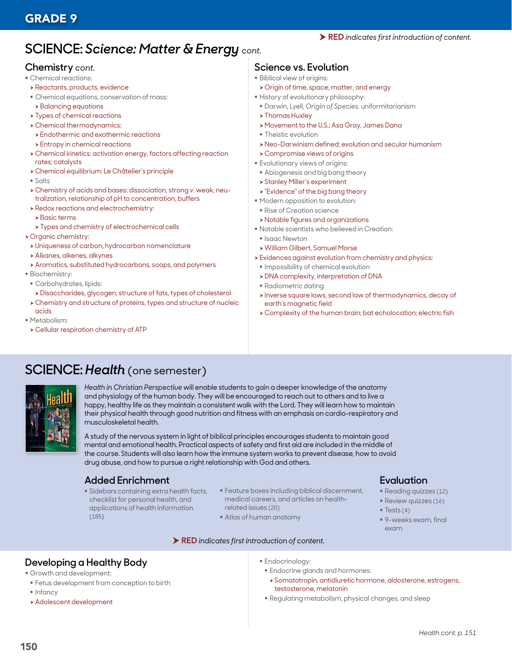# **SCIENCE:** *Science: Matter & Energy cont.*

#### **Chemistry** *cont.*

- **Chemical reactions:**
- **> Reactants, products, evidence**
- Chemical equations, conservation of mass:
- **>** Balancing equations
- $\rightarrow$  Types of chemical reactions
- $\triangleright$  Chemical thermodynamics:
- $\rightarrow$  Endothermic and exothermic reactions
- $\rightarrow$  Entropy in chemical reactions
- h Chemical kinetics: activation energy, factors affecting reaction rates; catalysts
- h Chemical equilibrium: Le Châtelier's principle
- Salts
- h Chemistry of acids and bases: dissociation, strong v. weak, neutralization, relationship of pH to concentration, buffers
- $\rightarrow$  Redox reactions and electrochemistry:
- $\rightarrow$  Basic terms
- $\rightarrow$  Types and chemistry of electrochemical cells
- **> Organic chemistry:**
- > Uniqueness of carbon, hydrocarbon nomenclature
- > Alkanes, alkenes, alkynes
- h Aromatics, substituted hydrocarbons, soaps, and polymers
- Biochemistry:
- Carbohydrates, lipids:
	- > Disaccharides, glycogen, structure of fats, types of cholesterol
- h Chemistry and structure of proteins, types and structure of nucleic acids
- Metabolism:
- h Cellular respiration chemistry of ATP

### **Science vs. Evolution**

- **Biblical view of origins:**
- $\rightarrow$  Origin of time, space, matter, and energy
- History of evolutionary philosophy:
- Darwin, Lyell, *Origin of Species,* uniformitarianism
- $\rightarrow$  Thomas Huxley
- ▶ Movement to the U.S.: Asa Gray, James Dana
- **F** Theistic evolution
- h Neo-Darwinism defined; evolution and secular humanism
- $\rightarrow$  Compromise views of origins
- Evolutionary views of origins:
- Abiogenesis and big bang theory
- **> Stanley Miller's experiment**
- $\triangleright$  "Evidence" of the big bang theory
- Modern opposition to evolution:
- Rise of Creation science
- h Notable figures and organizations
- Notable scientists who believed in Creation:
- **Isaac Newton**
- h William Gilbert, Samuel Morse
- h Evidences against evolution from chemistry and physics:
- **Inpossibility of chemical evolution**
- h DNA complexity, interpretation of DNA
- Radiometric dating
- > Inverse square laws, second law of thermodynamics, decay of earth's magnetic field
- h Complexity of the human brain; bat echolocation; electric fish

# **SCIENCE:** *Health* (one semester)



*Health in Christian Perspective* will enable students to gain a deeper knowledge of the anatomy and physiology of the human body. They will be encouraged to reach out to others and to live a happy, healthy life as they maintain a consistent walk with the Lord. They will learn how to maintain their physical health through good nutrition and fitness with an emphasis on cardio-respiratory and musculoskeletal health.

A study of the nervous system in light of biblical principles encourages students to maintain good mental and emotional health. Practical aspects of safety and first aid are included in the middle of the course. Students will also learn how the immune system works to prevent disease, how to avoid drug abuse, and how to pursue a right relationship with God and others.

# **Added Enrichment**

- Sidebars containing extra health facts, checklist for personal health, and applications of health information (185)
- **Feature boxes including biblical discernment,** medical careers, and articles on healthrelated issues (20)
- Atlas of human anatomy

#### RED *indicates first introduction of content.*

### **Evaluation**

- Reading quizzes (12)
- **Review quizzes (16)**
- $\overline{\phantom{a}}$  Tests (4)
- 9-weeks exam, final exam

# **Developing a Healthy Body**

- Growth and development:
- **Fetus development from conception to birth**
- $\blacksquare$  Infancy
- **> Adolescent development**
- Endocrinology:
- Endocrine glands and hormones:
- h Somatotropin, antidiuretic hormone, aldosterone, estrogens, testosterone, melatonin
- Regulating metabolism, physical changes, and sleep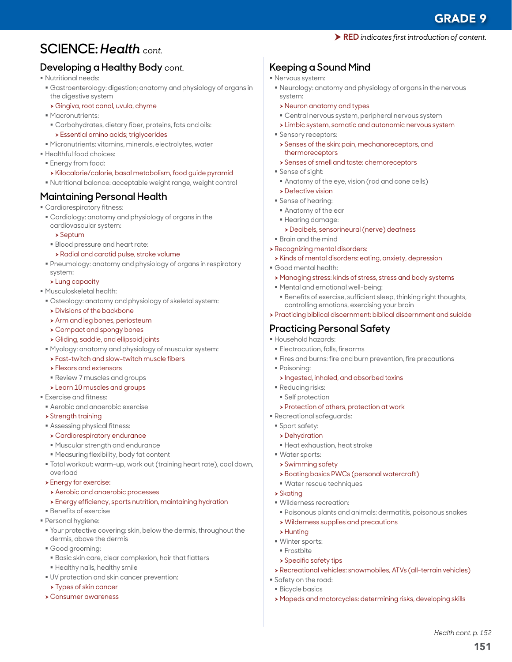# GRADE 9

# **SCIENCE:** *Health cont.*

# **Developing a Healthy Body** *cont.*

- Nutritional needs:
- Gastroenterology: digestion; anatomy and physiology of organs in the digestive system
- h Gingiva, root canal, uvula, chyme
- **Macronutrients:**
- Carbohydrates, dietary fiber, proteins, fats and oils: **>** Essential amino acids; triglycerides
- Micronutrients: vitamins, minerals, electrolytes, water
- Healthful food choices:
- **Energy from food:**
- h Kilocalorie/calorie, basal metabolism, food guide pyramid
- Nutritional balance: acceptable weight range, weight control

# **Maintaining Personal Health**

- Cardiorespiratory fitness:
	- Cardiology: anatomy and physiology of organs in the cardiovascular system:
		- $\rightarrow$  Septum
	- Blood pressure and heart rate:
	- **> Radial and carotid pulse, stroke volume**
	- Pneumology: anatomy and physiology of organs in respiratory system:
	- $\blacktriangleright$  Lung capacity
- Musculoskeletal health:
- Osteology: anatomy and physiology of skeletal system:
- $\rightarrow$  Divisions of the backbone
- $\rightarrow$  Arm and leg bones, periosteum
- $\rightarrow$  Compact and spongy bones
- h Gliding, saddle, and ellipsoid joints
- Myology: anatomy and physiology of muscular system:
- **>** Fast-twitch and slow-twitch muscle fibers
- $\blacktriangleright$  Flexors and extensors
- Review 7 muscles and groups
- **>Learn 10 muscles and groups**
- Exercise and fitness:
- Aerobic and anaerobic exercise
- $\rightarrow$  Strength training
- Assessing physical fitness:

#### $\rightarrow$  Cardiorespiratory endurance

- Muscular strength and endurance
- Measuring flexibility, body fat content
- Total workout: warm-up, work out (training heart rate), cool down, overload
- $\blacktriangleright$  Energy for exercise:
- **Aerobic and anaerobic processes**
- $\rightarrow$  Energy efficiency, sports nutrition, maintaining hydration
- Benefits of exercise
- Personal hygiene:
- Your protective covering: skin, below the dermis, throughout the dermis, above the dermis
- Good grooming:
- Basic skin care, clear complexion, hair that flatters
- Healthy nails, healthy smile
- UV protection and skin cancer prevention:
- > Types of skin cancer
- h Consumer awareness

# **Keeping a Sound Mind**

- Nervous system:
	- Neurology: anatomy and physiology of organs in the nervous system:

RED *indicates first introduction of content.*

- h Neuron anatomy and types
- Central nervous system, peripheral nervous system
- \* Limbic system, somatic and autonomic nervous system
- **Sensory receptors:**
- **>** Senses of the skin: pain, mechanoreceptors, and thermoreceptors
- **> Senses of smell and taste: chemoreceptors**
- Sense of sight:
- Anatomy of the eye, vision (rod and cone cells)
- $\rightarrow$  Defective vision
- Sense of hearing:
- Anatomy of the ear
- Hearing damage:
	- h Decibels, sensorineural (nerve) deafness
- Brain and the mind
- **> Recognizing mental disorders:** 
	- h Kinds of mental disorders: eating, anxiety, depression
- Good mental health:
- h Managing stress: kinds of stress, stress and body systems
- Mental and emotional well-being:
- Benefits of exercise, sufficient sleep, thinking right thoughts, controlling emotions, exercising your brain
- h Practicing biblical discernment: biblical discernment and suicide

## **Practicing Personal Safety**

- Household hazards:
- **Electrocution, falls, firearms**
- Fires and burns: fire and burn prevention, fire precautions
- Poisoning:
- $\triangleright$  Ingested, inhaled, and absorbed toxins
- Reducing risks:
- Self protection
- **> Protection of others, protection at work**
- Recreational safeguards:
- Sport safety:
- $\rightarrow$  Dehydration
- Heat exhaustion, heat stroke
- Water sports:
- > Swimming safety
- **> Boating basics PWCs (personal watercraft)**
- Water rescue techniques
- $\blacktriangleright$  Skating
- Wilderness recreation:

 $\rightarrow$  Specific safety tips

Poisonous plants and animals: dermatitis, poisonous snakes

h Recreational vehicles: snowmobiles, ATVs (all-terrain vehicles)

h Mopeds and motorcycles: determining risks, developing skills

151

*Health cont. p. 152*

- $\triangleright$  Wilderness supplies and precautions
- $\blacktriangleright$  Hunting
- Winter sports:

 Safety on the road: Bicycle basics

**Frostbite**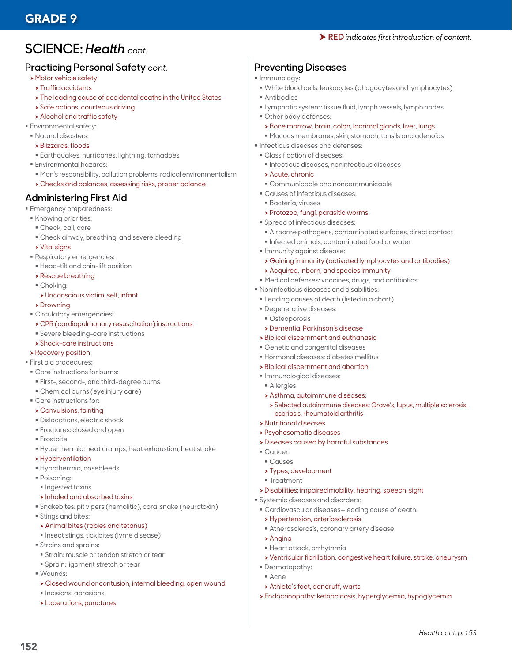# **SCIENCE:** *Health cont.*

### **Practicing Personal Safety** *cont.*

- $\triangleright$  Motor vehicle safety:
	- $\rightarrow$  Traffic accidents
	- $\triangleright$  The leading cause of accidental deaths in the United States
- **> Safe actions, courteous driving**
- **>** Alcohol and traffic safety
- **Environmental safety:**
- Natural disasters:
	- $\rightarrow$  Blizzards, floods
	- Earthquakes, hurricanes, lightning, tornadoes
- Environmental hazards:
	- Man's responsibility, pollution problems, radical environmentalism
	- h Checks and balances, assessing risks, proper balance

## **Administering First Aid**

- Emergency preparedness:
- **Knowing priorities:**
- Check, call, care
- Check airway, breathing, and severe bleeding
- $\triangleright$  Vital signs
- Respiratory emergencies:
- Head-tilt and chin-lift position
- $\rightarrow$  Rescue breathing
- Choking:
- h Unconscious victim, self, infant
- $\triangleright$  Drowning
- Circulatory emergencies:
- h CPR (cardiopulmonary resuscitation) instructions
- Severe bleeding-care instructions
- $\rightarrow$  Shock-care instructions

#### **>** Recovery position

- First aid procedures:
- Care instructions for burns:
- First-, second-, and third-degree burns
- Chemical burns (eye injury care)
- Care instructions for:
- $\rightarrow$  Convulsions, fainting
- **Dislocations, electric shock**
- Fractures: closed and open
- **Frostbite**
- Hyperthermia: heat cramps, heat exhaustion, heat stroke
- $\rightarrow$  Hyperventilation
- Hypothermia, nosebleeds
- Poisoning:
- **Ingested toxins**
- $\rightarrow$  Inhaled and absorbed toxins
- Snakebites: pit vipers (hemolitic), coral snake (neurotoxin)
- **Stings and bites:**
- $\rightarrow$  Animal bites (rabies and tetanus)
- **Insect stings, tick bites (lyme disease)**
- Strains and sprains:
- Strain: muscle or tendon stretch or tear
- **Sprain: ligament stretch or tear**
- Wounds:

152

- h Closed wound or contusion, internal bleeding, open wound
- $\blacksquare$  Incisions, abrasions
- $\blacktriangleright$  Lacerations, punctures

## **Preventing Diseases**

- **Immunology:**
- White blood cells: leukocytes (phagocytes and lymphocytes)
- Antibodies
- Lymphatic system: tissue fluid, lymph vessels, lymph nodes
- Other body defenses:
- $\rightarrow$  Bone marrow, brain, colon, lacrimal glands, liver, lungs
- Mucous membranes, skin, stomach, tonsils and adenoids
- $\blacksquare$  Infectious diseases and defenses:
- Classification of diseases:
	- Infectious diseases, noninfectious diseases
	- $\rightarrow$  Acute, chronic
	- Communicable and noncommunicable
- Causes of infectious diseases:
	- Bacteria, viruses
- h Protozoa, fungi, parasitic worms
- Spread of infectious diseases:
- Airborne pathogens, contaminated surfaces, direct contact
- $\blacksquare$  Infected animals, contaminated food or water
- **Immunity against disease:**
- h Gaining immunity (activated lymphocytes and antibodies)
- $\rightarrow$  Acquired, inborn, and species immunity
- Medical defenses: vaccines, drugs, and antibiotics
- Noninfectious diseases and disabilities:
- Leading causes of death (listed in a chart)
- Degenerative diseases:
- Osteoporosis
- h Dementia, Parkinson's disease
- **> Biblical discernment and euthanasia**
- Genetic and congenital diseases
- Hormonal diseases: diabetes mellitus
- **> Biblical discernment and abortion**
- $\blacksquare$  Immunological diseases:
- Allergies
- $\rightarrow$  Asthma, autoimmune diseases:
	- h Selected autoimmune diseases: Grave's, lupus, multiple sclerosis, psoriasis, rheumatoid arthritis

h Ventricular fibrillation, congestive heart failure, stroke, aneurysm

h Endocrinopathy: ketoacidosis, hyperglycemia, hypoglycemia

*Health cont. p. 153*

- **> Nutritional diseases**
- h Psychosomatic diseases

Systemic diseases and disorders:

Heart attack, arrhythmia

**> Hypertension, arteriosclerosis** 

**Athlete's foot, dandruff, warts** 

 $\rightarrow$  Diseases caused by harmful substances

h Disabilities: impaired mobility, hearing, speech, sight

Cardiovascular diseases—leading cause of death:

Atherosclerosis, coronary artery disease

- Cancer:
- Causes  $\rightarrow$  Types, development

 $\rightarrow$  Angina

 Dermatopathy: Acne

**Treatment**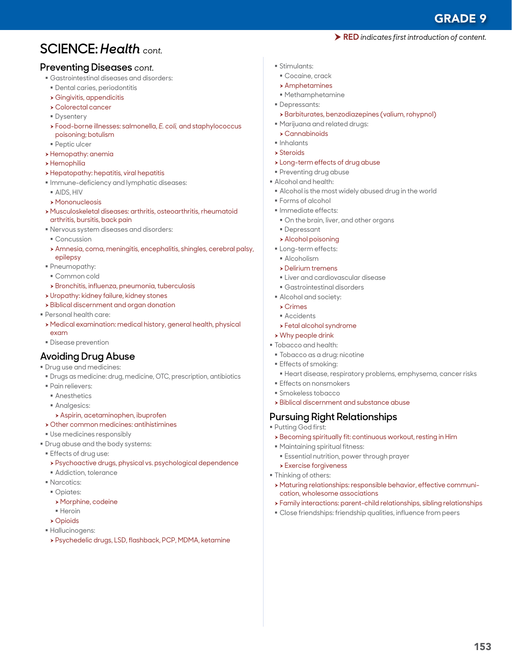GRADE 9

RED *indicates first introduction of content.*

# **SCIENCE:** *Health cont.*

#### **Preventing Diseases** *cont.*

- Gastrointestinal diseases and disorders:
- Dental caries, periodontitis
- $\rightarrow$  Gingivitis, appendicitis
- $\rightarrow$  Colorectal cancer
- **Dysentery**
- <sup>h</sup> Food-borne illnesses: salmonella, *E. coli,* and staphylococcus poisoning; botulism
- Peptic ulcer
- **>** Hemopathy: anemia
- $\rightarrow$  Hemophilia
- > Hepatopathy: hepatitis, viral hepatitis
- Immune-deficiency and lymphatic diseases:
- AIDS, HIV
- $\rightarrow$  Mononucleosis
- h Musculoskeletal diseases: arthritis, osteoarthritis, rheumatoid arthritis, bursitis, back pain
- Nervous system diseases and disorders:
- Concussion
- h Amnesia, coma, meningitis, encephalitis, shingles, cerebral palsy, epilepsy
- Pneumopathy:
- Common cold
- » Bronchitis, influenza, pneumonia, tuberculosis
- **>** Uropathy: kidney failure, kidney stones
- **> Biblical discernment and organ donation**
- Personal health care:
- h Medical examination: medical history, general health, physical exam
- **Disease prevention**

#### **Avoiding Drug Abuse**

- **Drug use and medicines:**
- Drugs as medicine: drug, medicine, OTC, prescription, antibiotics
- **Pain relievers:**
- **Anesthetics**
- Analgesics:
- $\rightarrow$  Aspirin, acetaminophen, ibuprofen
- $\rightarrow$  Other common medicines: antihistimines
- Use medicines responsibly
- **Drug abuse and the body systems:**
- Effects of drug use:
	- h Psychoactive drugs, physical vs. psychological dependence
- **Addiction, tolerance**
- **Narcotics:**
- Opiates:
	- » Morphine, codeine
	- Heroin
- $\rightarrow$  Opioids
- Hallucinogens:
- h Psychedelic drugs, LSD, flashback, PCP, MDMA, ketamine
- Stimulants:
	- Cocaine, crack
	- $\rightarrow$  Amphetamines
	- Methamphetamine
- Depressants:
- > Barbiturates, benzodiazepines (valium, rohypnol)
- Marijuana and related drugs:
- $\rightarrow$  Cannabinoids
- Inhalants
- $\rightarrow$  Steroids
- > Long-term effects of drug abuse
- Preventing drug abuse
- Alcohol and health:
- Alcohol is the most widely abused drug in the world
- Forms of alcohol
- **Immediate effects:**
- On the brain, liver, and other organs
- Depressant
- > Alcohol poisoning
- **Long-term effects:**
- **Alcoholism**
- h Delirium tremens
- **Liver and cardiovascular disease**
- Gastrointestinal disorders
- Alcohol and society:
- $\triangleright$  Crimes
- **Accidents**
- $\rightarrow$  Fetal alcohol syndrome
- $\triangleright$  Why people drink
- Tobacco and health:
- Tobacco as a drug: nicotine
- **Effects of smoking:**
- Heart disease, respiratory problems, emphysema, cancer risks
- **Effects on nonsmokers**
- Smokeless tobacco
- $\rightarrow$  Biblical discernment and substance abuse

### **Pursuing Right Relationships**

- Putting God first:
- **>** Becoming spiritually fit: continuous workout, resting in Him
- Maintaining spiritual fitness:
- Essential nutrition, power through prayer
- $\blacktriangleright$  Exercise forgiveness
- **Thinking of others:**
- h Maturing relationships: responsible behavior, effective communication, wholesome associations
- h Family interactions: parent-child relationships, sibling relationships
- Close friendships: friendship qualities, influence from peers